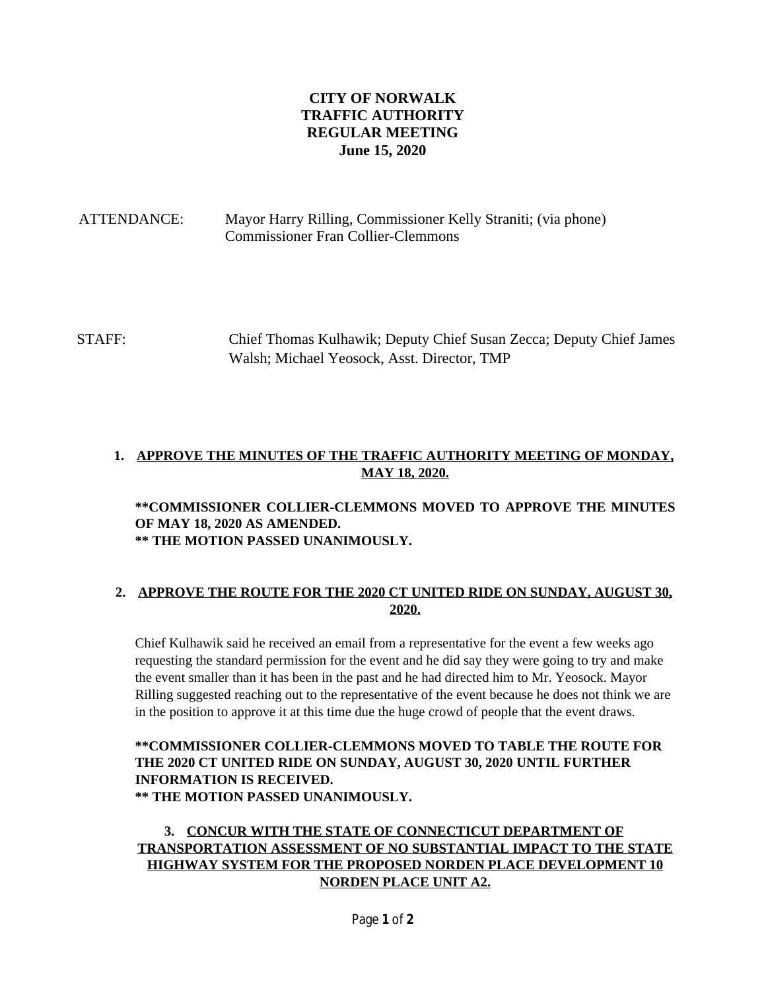# **CITY OF NORWALK TRAFFIC AUTHORITY REGULAR MEETING June 15, 2020**

# ATTENDANCE: Mayor Harry Rilling, Commissioner Kelly Straniti; (via phone) Commissioner Fran Collier-Clemmons

STAFF: Chief Thomas Kulhawik; Deputy Chief Susan Zecca; Deputy Chief James Walsh; Michael Yeosock, Asst. Director, TMP

# **1. APPROVE THE MINUTES OF THE TRAFFIC AUTHORITY MEETING OF MONDAY, MAY 18, 2020.**

#### **\*\*COMMISSIONER COLLIER-CLEMMONS MOVED TO APPROVE THE MINUTES OF MAY 18, 2020 AS AMENDED. \*\* THE MOTION PASSED UNANIMOUSLY.**

#### **2. APPROVE THE ROUTE FOR THE 2020 CT UNITED RIDE ON SUNDAY, AUGUST 30, 2020.**

Chief Kulhawik said he received an email from a representative for the event a few weeks ago requesting the standard permission for the event and he did say they were going to try and make the event smaller than it has been in the past and he had directed him to Mr. Yeosock. Mayor Rilling suggested reaching out to the representative of the event because he does not think we are in the position to approve it at this time due the huge crowd of people that the event draws.

### **\*\*COMMISSIONER COLLIER-CLEMMONS MOVED TO TABLE THE ROUTE FOR THE 2020 CT UNITED RIDE ON SUNDAY, AUGUST 30, 2020 UNTIL FURTHER INFORMATION IS RECEIVED. \*\* THE MOTION PASSED UNANIMOUSLY.**

# **3. CONCUR WITH THE STATE OF CONNECTICUT DEPARTMENT OF TRANSPORTATION ASSESSMENT OF NO SUBSTANTIAL IMPACT TO THE STATE HIGHWAY SYSTEM FOR THE PROPOSED NORDEN PLACE DEVELOPMENT 10 NORDEN PLACE UNIT A2.**